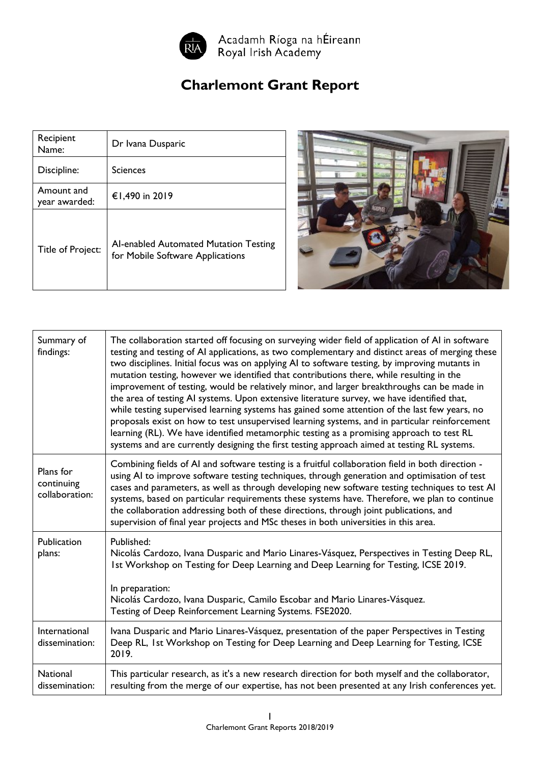

## **Charlemont Grant Report**

| Recipient<br>Name:          | Dr Ivana Dusparic                                                         |
|-----------------------------|---------------------------------------------------------------------------|
| Discipline:                 | <b>Sciences</b>                                                           |
| Amount and<br>year awarded: | €1,490 in 2019                                                            |
| Title of Project:           | Al-enabled Automated Mutation Testing<br>for Mobile Software Applications |



| Summary of<br>findings:                   | The collaboration started off focusing on surveying wider field of application of AI in software<br>testing and testing of AI applications, as two complementary and distinct areas of merging these<br>two disciplines. Initial focus was on applying AI to software testing, by improving mutants in<br>mutation testing, however we identified that contributions there, while resulting in the<br>improvement of testing, would be relatively minor, and larger breakthroughs can be made in<br>the area of testing AI systems. Upon extensive literature survey, we have identified that,<br>while testing supervised learning systems has gained some attention of the last few years, no<br>proposals exist on how to test unsupervised learning systems, and in particular reinforcement<br>learning (RL). We have identified metamorphic testing as a promising approach to test RL<br>systems and are currently designing the first testing approach aimed at testing RL systems. |
|-------------------------------------------|---------------------------------------------------------------------------------------------------------------------------------------------------------------------------------------------------------------------------------------------------------------------------------------------------------------------------------------------------------------------------------------------------------------------------------------------------------------------------------------------------------------------------------------------------------------------------------------------------------------------------------------------------------------------------------------------------------------------------------------------------------------------------------------------------------------------------------------------------------------------------------------------------------------------------------------------------------------------------------------------|
| Plans for<br>continuing<br>collaboration: | Combining fields of AI and software testing is a fruitful collaboration field in both direction -<br>using AI to improve software testing techniques, through generation and optimisation of test<br>cases and parameters, as well as through developing new software testing techniques to test AI<br>systems, based on particular requirements these systems have. Therefore, we plan to continue<br>the collaboration addressing both of these directions, through joint publications, and<br>supervision of final year projects and MSc theses in both universities in this area.                                                                                                                                                                                                                                                                                                                                                                                                       |
| Publication<br>plans:                     | Published:<br>Nicolás Cardozo, Ivana Dusparic and Mario Linares-Vásquez, Perspectives in Testing Deep RL,<br>Ist Workshop on Testing for Deep Learning and Deep Learning for Testing, ICSE 2019.<br>In preparation:<br>Nicolás Cardozo, Ivana Dusparic, Camilo Escobar and Mario Linares-Vásquez.<br>Testing of Deep Reinforcement Learning Systems. FSE2020.                                                                                                                                                                                                                                                                                                                                                                                                                                                                                                                                                                                                                               |
| International<br>dissemination:           | Ivana Dusparic and Mario Linares-Vásquez, presentation of the paper Perspectives in Testing<br>Deep RL, 1st Workshop on Testing for Deep Learning and Deep Learning for Testing, ICSE<br>2019.                                                                                                                                                                                                                                                                                                                                                                                                                                                                                                                                                                                                                                                                                                                                                                                              |
| <b>National</b><br>dissemination:         | This particular research, as it's a new research direction for both myself and the collaborator,<br>resulting from the merge of our expertise, has not been presented at any Irish conferences yet.                                                                                                                                                                                                                                                                                                                                                                                                                                                                                                                                                                                                                                                                                                                                                                                         |